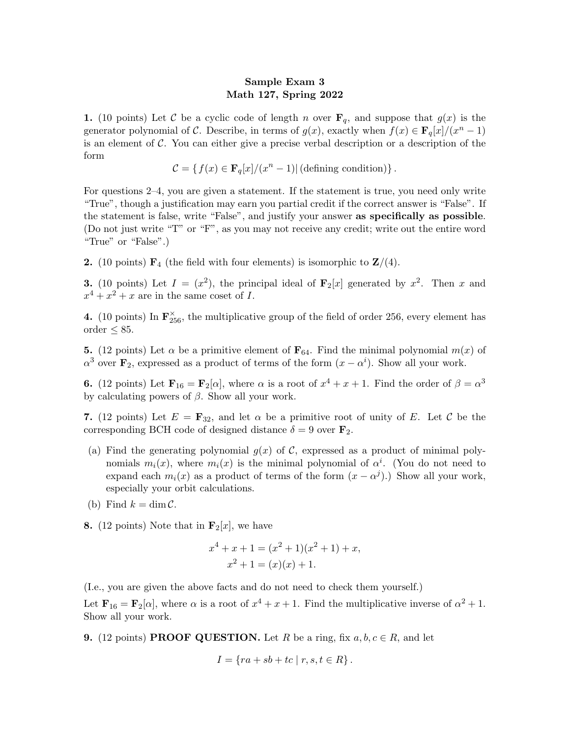## Sample Exam 3 Math 127, Spring 2022

1. (10 points) Let C be a cyclic code of length n over  $\mathbf{F}_q$ , and suppose that  $g(x)$  is the generator polynomial of C. Describe, in terms of  $g(x)$ , exactly when  $f(x) \in \mathbf{F}_q[x]/(x^n-1)$ is an element of  $\mathcal C$ . You can either give a precise verbal description or a description of the form

$$
\mathcal{C} = \{ f(x) \in \mathbf{F}_q[x]/(x^n - 1) | (\text{defining condition}) \}.
$$

For questions 2–4, you are given a statement. If the statement is true, you need only write "True", though a justification may earn you partial credit if the correct answer is "False". If the statement is false, write "False", and justify your answer as specifically as possible. (Do not just write "T" or "F", as you may not receive any credit; write out the entire word "True" or "False".)

**2.** (10 points)  $\mathbf{F}_4$  (the field with four elements) is isomorphic to  $\mathbf{Z}/(4)$ .

**3.** (10 points) Let  $I = (x^2)$ , the principal ideal of  $\mathbf{F}_2[x]$  generated by  $x^2$ . Then x and  $x^4 + x^2 + x$  are in the same coset of I.

**4.** (10 points) In  $\mathbf{F}_{256}^{\times}$ , the multiplicative group of the field of order 256, every element has order  $\leq 85$ .

**5.** (12 points) Let  $\alpha$  be a primitive element of  $\mathbf{F}_{64}$ . Find the minimal polynomial  $m(x)$  of  $\alpha^3$  over  $\mathbf{F}_2$ , expressed as a product of terms of the form  $(x - \alpha^i)$ . Show all your work.

**6.** (12 points) Let  $\mathbf{F}_{16} = \mathbf{F}_2[\alpha]$ , where  $\alpha$  is a root of  $x^4 + x + 1$ . Find the order of  $\beta = \alpha^3$ by calculating powers of  $\beta$ . Show all your work.

7. (12 points) Let  $E = \mathbf{F}_{32}$ , and let  $\alpha$  be a primitive root of unity of E. Let C be the corresponding BCH code of designed distance  $\delta = 9$  over  $\mathbf{F}_2$ .

- (a) Find the generating polynomial  $g(x)$  of C, expressed as a product of minimal polynomials  $m_i(x)$ , where  $m_i(x)$  is the minimal polynomial of  $\alpha^i$ . (You do not need to expand each  $m_i(x)$  as a product of terms of the form  $(x - \alpha^j)$ . Show all your work, especially your orbit calculations.
- (b) Find  $k = \dim \mathcal{C}$ .
- **8.** (12 points) Note that in  $\mathbf{F}_2[x]$ , we have

$$
x4 + x + 1 = (x2 + 1)(x2 + 1) + x,
$$
  

$$
x2 + 1 = (x)(x) + 1.
$$

(I.e., you are given the above facts and do not need to check them yourself.)

Let  $\mathbf{F}_{16} = \mathbf{F}_2[\alpha]$ , where  $\alpha$  is a root of  $x^4 + x + 1$ . Find the multiplicative inverse of  $\alpha^2 + 1$ . Show all your work.

**9.** (12 points) **PROOF QUESTION.** Let R be a ring, fix  $a, b, c \in R$ , and let

$$
I = \{ ra + sb + tc \mid r, s, t \in R \}.
$$